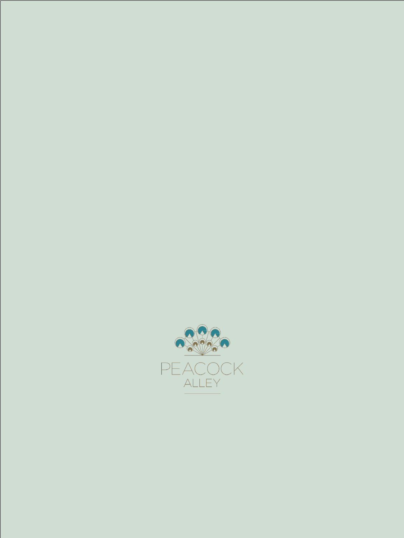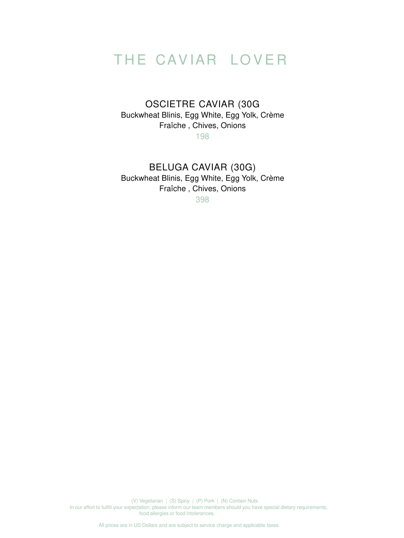All prices are in US Dollars and are subject to service charge and applicable taxes.

## THE CAVIAR LOVER

## OSCIETRE CAVIAR (30G Buckwheat Blinis, Egg White, Egg Yolk, Crème Fraîche , Chives, Onions

198

BELUGA CAVIAR (30G) Buckwheat Blinis, Egg White, Egg Yolk, Crème Fraîche , Chives, Onions 398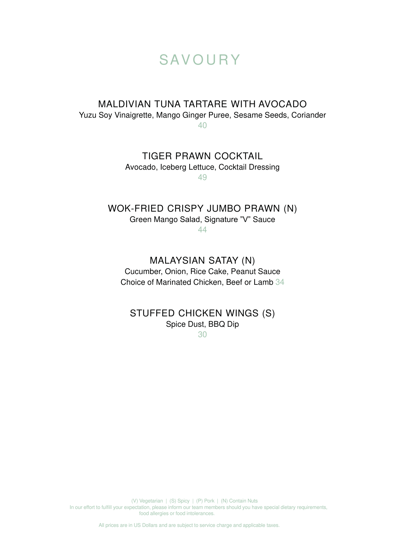All prices are in US Dollars and are subject to service charge and applicable taxes.

## **SAVOURY**

#### MALDIVIAN TUNA TARTARE WITH AVOCADO Yuzu Soy Vinaigrette, Mango Ginger Puree, Sesame Seeds, Coriander 40

TIGER PRAWN COCKTAIL Avocado, Iceberg Lettuce, Cocktail Dressing

49

WOK-FRIED CRISPY JUMBO PRAWN (N) Green Mango Salad, Signature "V" Sauce

44

MALAYSIAN SATAY (N) Cucumber, Onion, Rice Cake, Peanut Sauce Choice of Marinated Chicken, Beef or Lamb 34

### STUFFED CHICKEN WINGS (S) Spice Dust, BBQ Dip 30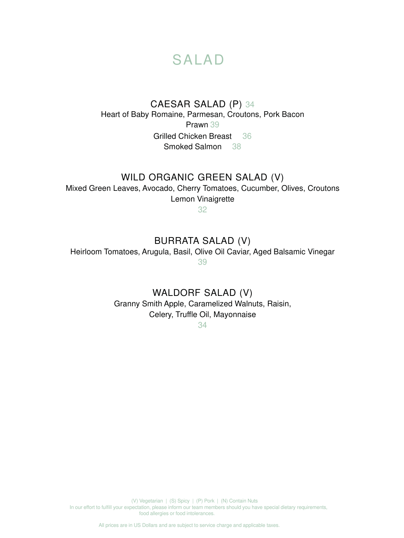All prices are in US Dollars and are subject to service charge and applicable taxes.

## SALAD

## CAESAR SALAD (P) 34 Heart of Baby Romaine, Parmesan, Croutons, Pork Bacon Prawn 39 Grilled Chicken Breast 36 Smoked Salmon 38

### WILD ORGANIC GREEN SALAD (V)

Mixed Green Leaves, Avocado, Cherry Tomatoes, Cucumber, Olives, Croutons Lemon Vinaigrette

32

### BURRATA SALAD (V)

Heirloom Tomatoes, Arugula, Basil, Olive Oil Caviar, Aged Balsamic Vinegar

39

### WALDORF SALAD (V)

Granny Smith Apple, Caramelized Walnuts, Raisin, Celery, Truffle Oil, Mayonnaise

34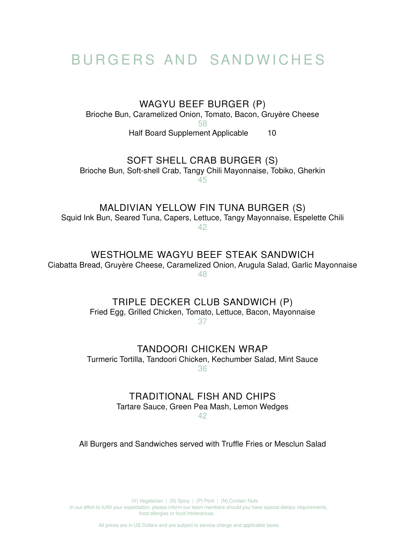## BURGERS AND SANDWICHES

WAGYU BEEF BURGER (P) Brioche Bun, Caramelized Onion, Tomato, Bacon, Gruyère Cheese 58 Half Board Supplement Applicable 10

All prices are in US Dollars and are subject to service charge and applicable taxes.

SOFT SHELL CRAB BURGER (S) Brioche Bun, Soft-shell Crab, Tangy Chili Mayonnaise, Tobiko, Gherkin 45

MALDIVIAN YELLOW FIN TUNA BURGER (S) Squid Ink Bun, Seared Tuna, Capers, Lettuce, Tangy Mayonnaise, Espelette Chili 42

WESTHOLME WAGYU BEEF STEAK SANDWICH

Ciabatta Bread, Gruyère Cheese, Caramelized Onion, Arugula Salad, Garlic Mayonnaise

48

TRIPLE DECKER CLUB SANDWICH (P)

Fried Egg, Grilled Chicken, Tomato, Lettuce, Bacon, Mayonnaise 37

#### TANDOORI CHICKEN WRAP Turmeric Tortilla, Tandoori Chicken, Kechumber Salad, Mint Sauce 36

#### TRADITIONAL FISH AND CHIPS Tartare Sauce, Green Pea Mash, Lemon Wedges 42

#### All Burgers and Sandwiches served with Truffle Fries or Mesclun Salad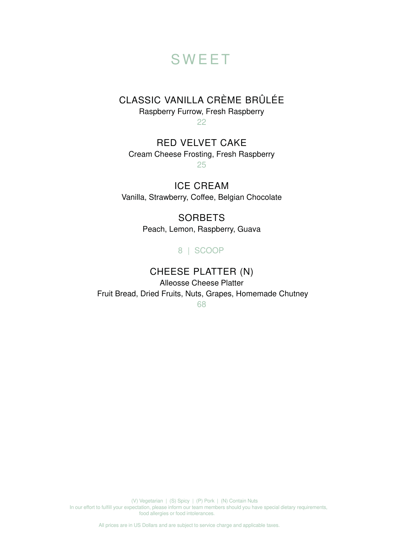All prices are in US Dollars and are subject to service charge and applicable taxes.

**SORBETS** Peach, Lemon, Raspberry, Guava

# **SWEET**

CLASSIC VANILLA CRÈME BRÛLÉE

Raspberry Furrow, Fresh Raspberry

22

RED VELVET CAKE Cream Cheese Frosting, Fresh Raspberry 25

ICE CREAM Vanilla, Strawberry, Coffee, Belgian Chocolate

8 | SCOOP

## CHEESE PLATTER (N)

Alleosse Cheese Platter Fruit Bread, Dried Fruits, Nuts, Grapes, Homemade Chutney

68